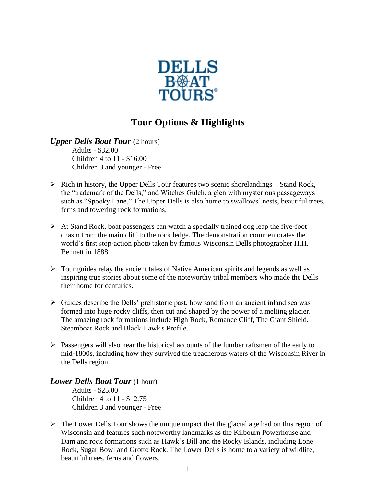

## **Tour Options & Highlights**

*Upper Dells Boat Tour* (2 hours) Adults - \$32.00 Children 4 to 11 - \$16.00 Children 3 and younger - Free

- $\triangleright$  Rich in history, the Upper Dells Tour features two scenic shorelandings Stand Rock, the "trademark of the Dells," and Witches Gulch, a glen with mysterious passageways such as "Spooky Lane." The Upper Dells is also home to swallows' nests, beautiful trees, ferns and towering rock formations.
- $\triangleright$  At Stand Rock, boat passengers can watch a specially trained dog leap the five-foot chasm from the main cliff to the rock ledge. The demonstration commemorates the world's first stop-action photo taken by famous Wisconsin Dells photographer H.H. Bennett in 1888.
- $\triangleright$  Tour guides relay the ancient tales of Native American spirits and legends as well as inspiring true stories about some of the noteworthy tribal members who made the Dells their home for centuries.
- $\triangleright$  Guides describe the Dells' prehistoric past, how sand from an ancient inland sea was formed into huge rocky cliffs, then cut and shaped by the power of a melting glacier. The amazing rock formations include High Rock, Romance Cliff, The Giant Shield, Steamboat Rock and Black Hawk's Profile.
- $\triangleright$  Passengers will also hear the historical accounts of the lumber raftsmen of the early to mid-1800s, including how they survived the treacherous waters of the Wisconsin River in the Dells region.

*Lower Dells Boat Tour* (1 hour) Adults - \$25.00 Children 4 to 11 - \$12.75 Children 3 and younger - Free

➢ The Lower Dells Tour shows the unique impact that the glacial age had on this region of Wisconsin and features such noteworthy landmarks as the Kilbourn Powerhouse and Dam and rock formations such as Hawk's Bill and the Rocky Islands, including Lone Rock, Sugar Bowl and Grotto Rock. The Lower Dells is home to a variety of wildlife, beautiful trees, ferns and flowers.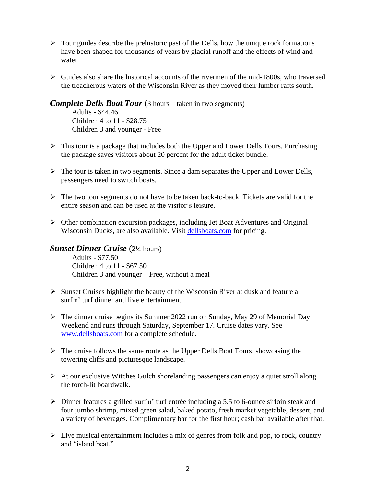- $\triangleright$  Tour guides describe the prehistoric past of the Dells, how the unique rock formations have been shaped for thousands of years by glacial runoff and the effects of wind and water.
- $\triangleright$  Guides also share the historical accounts of the rivermen of the mid-1800s, who traversed the treacherous waters of the Wisconsin River as they moved their lumber rafts south.

*Complete Dells Boat Tour* (3 hours – taken in two segments)

Adults - \$44.46 Children 4 to 11 - \$28.75 Children 3 and younger - Free

- ➢ This tour is a package that includes both the Upper and Lower Dells Tours. Purchasing the package saves visitors about 20 percent for the adult ticket bundle.
- $\triangleright$  The tour is taken in two segments. Since a dam separates the Upper and Lower Dells, passengers need to switch boats.
- ➢ The two tour segments do not have to be taken back-to-back. Tickets are valid for the entire season and can be used at the visitor's leisure.
- ➢ Other combination excursion packages, including Jet Boat Adventures and Original Wisconsin Ducks, are also available. Visit [dellsboats.com](https://www.dellsboats.com/) for pricing.

## *Sunset Dinner Cruise* (2¼ hours)

Adults - \$77.50 Children 4 to 11 - \$67.50 Children 3 and younger – Free, without a meal

- ➢ Sunset Cruises highlight the beauty of the Wisconsin River at dusk and feature a surf n' turf dinner and live entertainment.
- ➢ The dinner cruise begins its Summer 2022 run on Sunday, May 29 of Memorial Day Weekend and runs through Saturday, September 17. Cruise dates vary. See [www.dellsboats.com](http://www.dellsboats.com/) for a complete schedule.
- ➢ The cruise follows the same route as the Upper Dells Boat Tours, showcasing the towering cliffs and picturesque landscape.
- ➢ At our exclusive Witches Gulch shorelanding passengers can enjoy a quiet stroll along the torch-lit boardwalk.
- ➢ Dinner features a grilled surf n' turf entrée including a 5.5 to 6-ounce sirloin steak and four jumbo shrimp, mixed green salad, baked potato, fresh market vegetable, dessert, and a variety of beverages. Complimentary bar for the first hour; cash bar available after that.
- ➢ Live musical entertainment includes a mix of genres from folk and pop, to rock, country and "island beat."